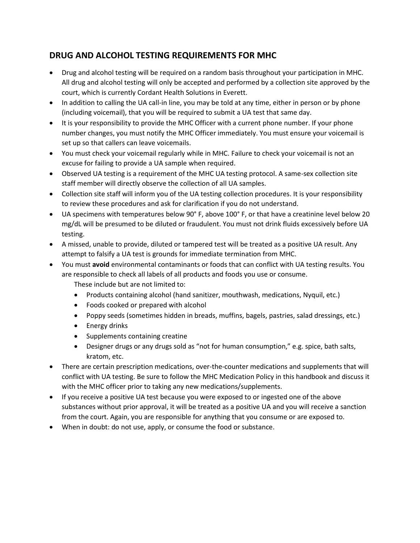# **DRUG AND ALCOHOL TESTING REQUIREMENTS FOR MHC**

- Drug and alcohol testing will be required on a random basis throughout your participation in MHC. All drug and alcohol testing will only be accepted and performed by a collection site approved by the court, which is currently Cordant Health Solutions in Everett.
- In addition to calling the UA call-in line, you may be told at any time, either in person or by phone (including voicemail), that you will be required to submit a UA test that same day.
- It is your responsibility to provide the MHC Officer with a current phone number. If your phone number changes, you must notify the MHC Officer immediately. You must ensure your voicemail is set up so that callers can leave voicemails.
- You must check your voicemail regularly while in MHC. Failure to check your voicemail is not an excuse for failing to provide a UA sample when required.
- Observed UA testing is a requirement of the MHC UA testing protocol. A same-sex collection site staff member will directly observe the collection of all UA samples.
- Collection site staff will inform you of the UA testing collection procedures. It is your responsibility to review these procedures and ask for clarification if you do not understand.
- UA specimens with temperatures below 90° F, above 100° F, or that have a creatinine level below 20 mg/dL will be presumed to be diluted or fraudulent. You must not drink fluids excessively before UA testing.
- A missed, unable to provide, diluted or tampered test will be treated as a positive UA result. Any attempt to falsify a UA test is grounds for immediate termination from MHC.
- You must **avoid** environmental contaminants or foods that can conflict with UA testing results. You are responsible to check all labels of all products and foods you use or consume.

These include but are not limited to:

- Products containing alcohol (hand sanitizer, mouthwash, medications, Nyquil, etc.)
- Foods cooked or prepared with alcohol
- Poppy seeds (sometimes hidden in breads, muffins, bagels, pastries, salad dressings, etc.)
- Energy drinks
- Supplements containing creatine
- Designer drugs or any drugs sold as "not for human consumption," e.g. spice, bath salts, kratom, etc.
- There are certain prescription medications, over-the-counter medications and supplements that will conflict with UA testing. Be sure to follow the MHC Medication Policy in this handbook and discuss it with the MHC officer prior to taking any new medications/supplements.
- If you receive a positive UA test because you were exposed to or ingested one of the above substances without prior approval, it will be treated as a positive UA and you will receive a sanction from the court. Again, you are responsible for anything that you consume or are exposed to.
- When in doubt: do not use, apply, or consume the food or substance.